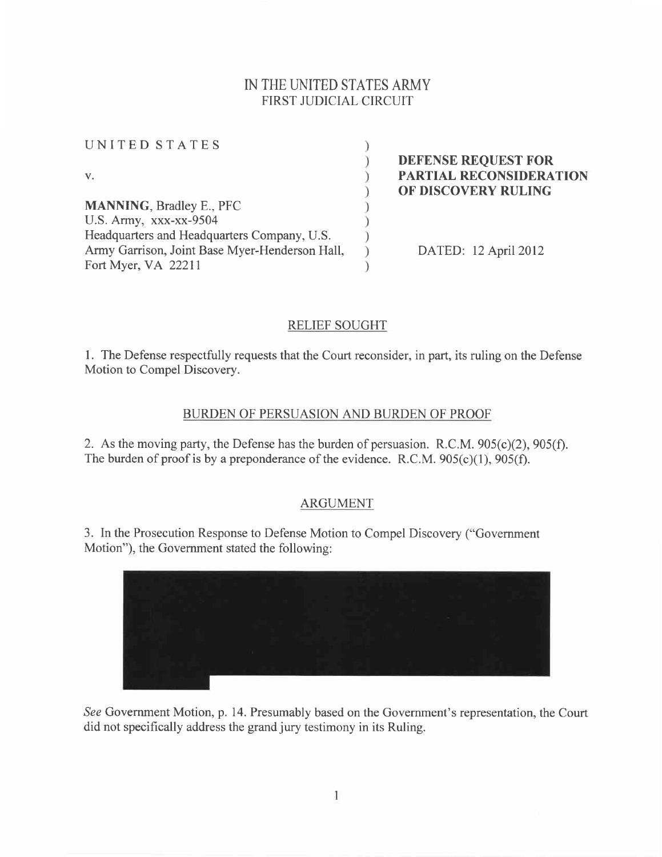## IN THE UNITED STATES ARMY FIRST JUDICIAL CIRCUIT

 $\lambda$  $\big)$  $\overline{\phantom{a}}$  $\mathcal{I}$ 

 $)$ 

| UNITED STATES                                  |  |
|------------------------------------------------|--|
| V.                                             |  |
| <b>MANNING, Bradley E., PFC</b>                |  |
| U.S. Army, xxx-xx-9504                         |  |
| Headquarters and Headquarters Company, U.S.    |  |
| Army Garrison, Joint Base Myer-Henderson Hall, |  |
| Fort Myer, VA 22211                            |  |

DEFENSE REQUEST FOR PARTIAL RECONSIDERATION OF DISCOVERY RULING

DATED: 12 April 2012

## RELIEF SOUGHT

l. The Defense respectfully requests that the Court reconsider, in part, its ruling on the Defense Motion to Compel Discovery.

## BURDEN OF PERSUASION AND BURDEN OF PROOF

2. As the moving party, the Defense has the burden of persuasion. R.C.M.  $905(c)(2)$ ,  $905(f)$ . The burden of proof is by a preponderance of the evidence. R.C.M.  $905(c)(1)$ ,  $905(f)$ .

## ARGUMENT

3. In the Prosecution Response to Defense Motion to Compel Discovery ("Government Motion"), the Government stated the following:



See Government Motion, p. 14. Presumably based on the Government's representation, the Court did not specifically address the grand jury testimony in its Ruling.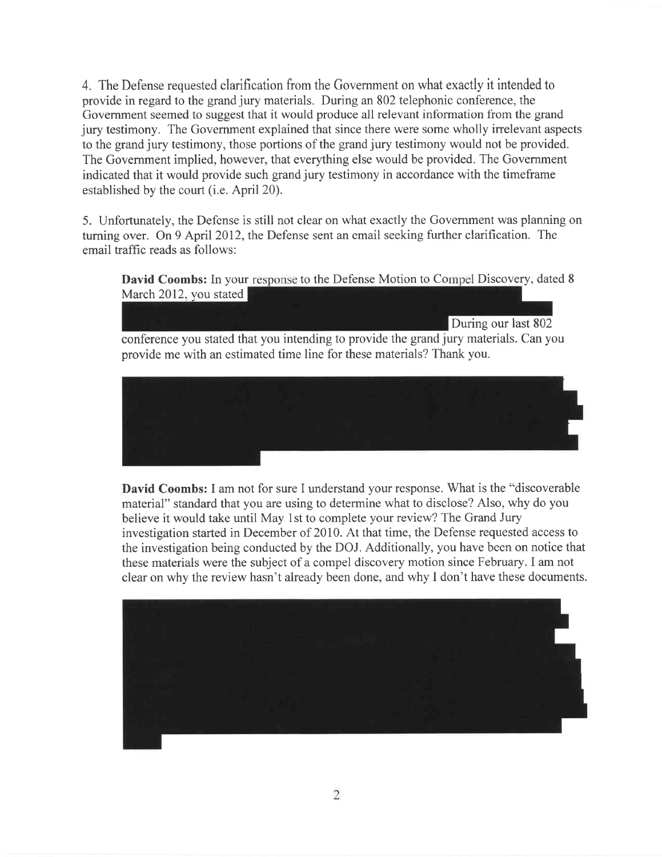4. The Defense requested clarification from the Govemment on what exactly it intended to provide in regard to the grand jury materials. During an 802 telephonic conference, the Government seemed to suggest that it would produce all relevant information from the grand jury testimony. The Government explained that since there were some wholly irrelevant aspects to the grand jury testimony, those portions of the grand jury testimony would not be provided. The Government implied, however, that everything else would be provided. The Government indicated that it would provide such grand jury testimony in accordance with the timeframe established by the court (i.e. April 20).

5. Unfortunately, the Defense is still not clear on what exactly the Govemment was planning on turning over. On 9 April 2012, the Defense sent an email seeking further clarification. The email traffic reads as follows:

David Coombs: In your response to the Defense Motion to Compel Discovery, dated 8 March 2012, you stated



David Coombs: I am not for sure I understand your response. What is the "discoverable material" standard that you are using to determine what to disclose? Also, why do you believe it would take until May lst to complete your review? The Grand Jury investigation started in December of 2010. At that time, the Defense requested access to the investigation being conducted by the DOJ. Additionally, you have been on notice that these materials were the subject of a compel discovery motion since February. I am not clear on why the review hasn't already been done, and why I don't have these documents.